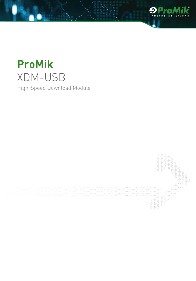

# **ProMik** XDM-USB High-Speed Download Module